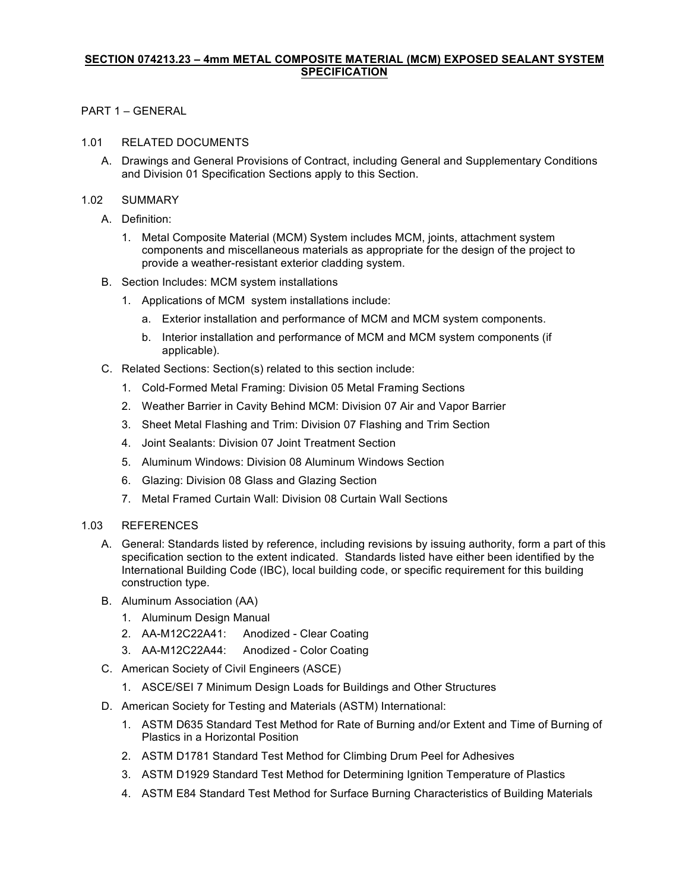# **SECTION 074213.23 – 4mm METAL COMPOSITE MATERIAL (MCM) EXPOSED SEALANT SYSTEM SPECIFICATION**

# PART 1 – GENERAL

#### 1.01 RELATED DOCUMENTS

A. Drawings and General Provisions of Contract, including General and Supplementary Conditions and Division 01 Specification Sections apply to this Section.

# 1.02 SUMMARY

- A. Definition:
	- 1. Metal Composite Material (MCM) System includes MCM, joints, attachment system components and miscellaneous materials as appropriate for the design of the project to provide a weather-resistant exterior cladding system.
- B. Section Includes: MCM system installations
	- 1. Applications of MCM system installations include:
		- a. Exterior installation and performance of MCM and MCM system components.
		- b. Interior installation and performance of MCM and MCM system components (if applicable).
- C. Related Sections: Section(s) related to this section include:
	- 1. Cold-Formed Metal Framing: Division 05 Metal Framing Sections
	- 2. Weather Barrier in Cavity Behind MCM: Division 07 Air and Vapor Barrier
	- 3. Sheet Metal Flashing and Trim: Division 07 Flashing and Trim Section
	- 4. Joint Sealants: Division 07 Joint Treatment Section
	- 5. Aluminum Windows: Division 08 Aluminum Windows Section
	- 6. Glazing: Division 08 Glass and Glazing Section
	- 7. Metal Framed Curtain Wall: Division 08 Curtain Wall Sections
- 1.03 REFERENCES
	- A. General: Standards listed by reference, including revisions by issuing authority, form a part of this specification section to the extent indicated. Standards listed have either been identified by the International Building Code (IBC), local building code, or specific requirement for this building construction type.
	- B. Aluminum Association (AA)
		- 1. Aluminum Design Manual
		- 2. AA-M12C22A41: Anodized Clear Coating
		- 3. AA-M12C22A44: Anodized Color Coating
	- C. American Society of Civil Engineers (ASCE)
		- 1. ASCE/SEI 7 Minimum Design Loads for Buildings and Other Structures
	- D. American Society for Testing and Materials (ASTM) International:
		- 1. ASTM D635 Standard Test Method for Rate of Burning and/or Extent and Time of Burning of Plastics in a Horizontal Position
		- 2. ASTM D1781 Standard Test Method for Climbing Drum Peel for Adhesives
		- 3. ASTM D1929 Standard Test Method for Determining Ignition Temperature of Plastics
		- 4. ASTM E84 Standard Test Method for Surface Burning Characteristics of Building Materials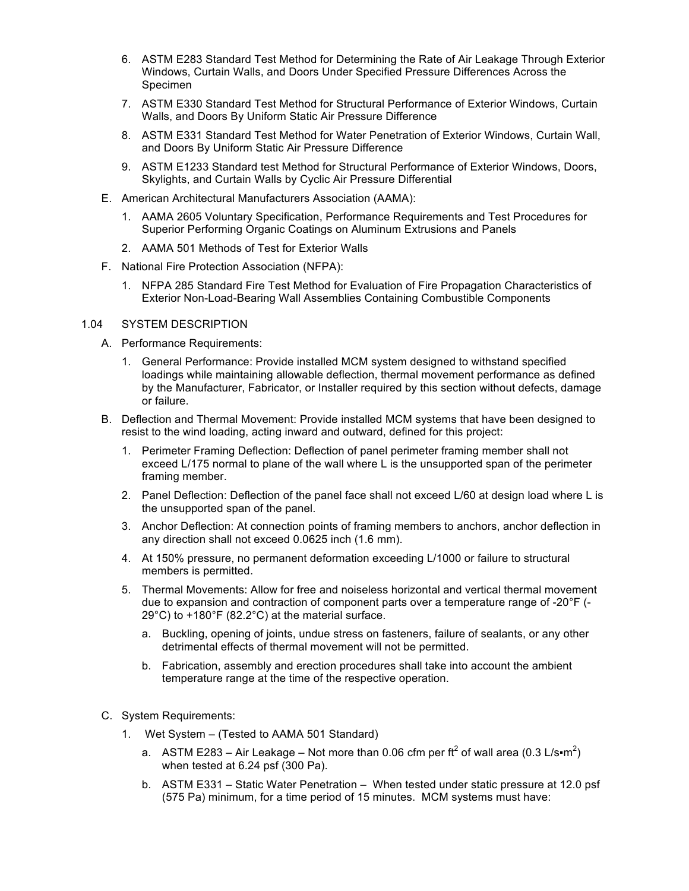- 6. ASTM E283 Standard Test Method for Determining the Rate of Air Leakage Through Exterior Windows, Curtain Walls, and Doors Under Specified Pressure Differences Across the Specimen
- 7. ASTM E330 Standard Test Method for Structural Performance of Exterior Windows, Curtain Walls, and Doors By Uniform Static Air Pressure Difference
- 8. ASTM E331 Standard Test Method for Water Penetration of Exterior Windows, Curtain Wall, and Doors By Uniform Static Air Pressure Difference
- 9. ASTM E1233 Standard test Method for Structural Performance of Exterior Windows, Doors, Skylights, and Curtain Walls by Cyclic Air Pressure Differential
- E. American Architectural Manufacturers Association (AAMA):
	- 1. AAMA 2605 Voluntary Specification, Performance Requirements and Test Procedures for Superior Performing Organic Coatings on Aluminum Extrusions and Panels
	- 2. AAMA 501 Methods of Test for Exterior Walls
- F. National Fire Protection Association (NFPA):
	- 1. NFPA 285 Standard Fire Test Method for Evaluation of Fire Propagation Characteristics of Exterior Non-Load-Bearing Wall Assemblies Containing Combustible Components

#### 1.04 SYSTEM DESCRIPTION

- A. Performance Requirements:
	- 1. General Performance: Provide installed MCM system designed to withstand specified loadings while maintaining allowable deflection, thermal movement performance as defined by the Manufacturer, Fabricator, or Installer required by this section without defects, damage or failure.
- B. Deflection and Thermal Movement: Provide installed MCM systems that have been designed to resist to the wind loading, acting inward and outward, defined for this project:
	- 1. Perimeter Framing Deflection: Deflection of panel perimeter framing member shall not exceed L/175 normal to plane of the wall where L is the unsupported span of the perimeter framing member.
	- 2. Panel Deflection: Deflection of the panel face shall not exceed L/60 at design load where L is the unsupported span of the panel.
	- 3. Anchor Deflection: At connection points of framing members to anchors, anchor deflection in any direction shall not exceed 0.0625 inch (1.6 mm).
	- 4. At 150% pressure, no permanent deformation exceeding L/1000 or failure to structural members is permitted.
	- 5. Thermal Movements: Allow for free and noiseless horizontal and vertical thermal movement due to expansion and contraction of component parts over a temperature range of -20°F (- 29°C) to +180°F (82.2°C) at the material surface.
		- a. Buckling, opening of joints, undue stress on fasteners, failure of sealants, or any other detrimental effects of thermal movement will not be permitted.
		- b. Fabrication, assembly and erection procedures shall take into account the ambient temperature range at the time of the respective operation.
- C. System Requirements:
	- 1. Wet System (Tested to AAMA 501 Standard)
		- a. ASTM E283 Air Leakage Not more than 0.06 cfm per ft $^2$  of wall area (0.3 L/s•m $^2$ ) when tested at 6.24 psf (300 Pa).
		- b. ASTM E331 Static Water Penetration When tested under static pressure at 12.0 psf (575 Pa) minimum, for a time period of 15 minutes. MCM systems must have: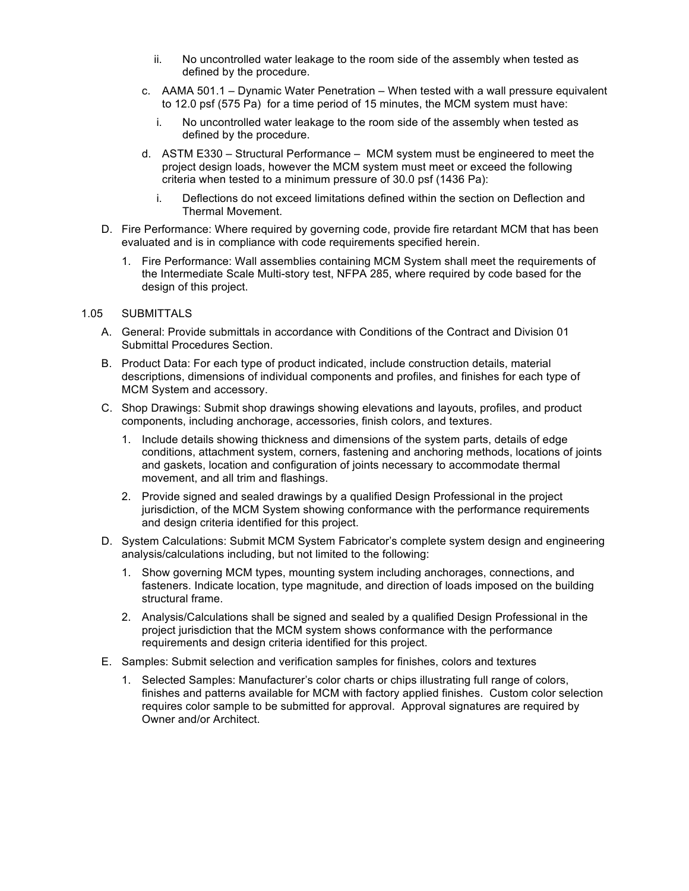- ii. No uncontrolled water leakage to the room side of the assembly when tested as defined by the procedure.
- c. AAMA 501.1 Dynamic Water Penetration When tested with a wall pressure equivalent to 12.0 psf (575 Pa) for a time period of 15 minutes, the MCM system must have:
	- i. No uncontrolled water leakage to the room side of the assembly when tested as defined by the procedure.
- d. ASTM E330 Structural Performance MCM system must be engineered to meet the project design loads, however the MCM system must meet or exceed the following criteria when tested to a minimum pressure of 30.0 psf (1436 Pa):
	- i. Deflections do not exceed limitations defined within the section on Deflection and Thermal Movement.
- D. Fire Performance: Where required by governing code, provide fire retardant MCM that has been evaluated and is in compliance with code requirements specified herein.
	- 1. Fire Performance: Wall assemblies containing MCM System shall meet the requirements of the Intermediate Scale Multi-story test, NFPA 285, where required by code based for the design of this project.

#### 1.05 SUBMITTALS

- A. General: Provide submittals in accordance with Conditions of the Contract and Division 01 Submittal Procedures Section.
- B. Product Data: For each type of product indicated, include construction details, material descriptions, dimensions of individual components and profiles, and finishes for each type of MCM System and accessory.
- C. Shop Drawings: Submit shop drawings showing elevations and layouts, profiles, and product components, including anchorage, accessories, finish colors, and textures.
	- 1. Include details showing thickness and dimensions of the system parts, details of edge conditions, attachment system, corners, fastening and anchoring methods, locations of joints and gaskets, location and configuration of joints necessary to accommodate thermal movement, and all trim and flashings.
	- 2. Provide signed and sealed drawings by a qualified Design Professional in the project jurisdiction, of the MCM System showing conformance with the performance requirements and design criteria identified for this project.
- D. System Calculations: Submit MCM System Fabricator's complete system design and engineering analysis/calculations including, but not limited to the following:
	- 1. Show governing MCM types, mounting system including anchorages, connections, and fasteners. Indicate location, type magnitude, and direction of loads imposed on the building structural frame.
	- 2. Analysis/Calculations shall be signed and sealed by a qualified Design Professional in the project jurisdiction that the MCM system shows conformance with the performance requirements and design criteria identified for this project.
- E. Samples: Submit selection and verification samples for finishes, colors and textures
	- 1. Selected Samples: Manufacturer's color charts or chips illustrating full range of colors, finishes and patterns available for MCM with factory applied finishes. Custom color selection requires color sample to be submitted for approval. Approval signatures are required by Owner and/or Architect.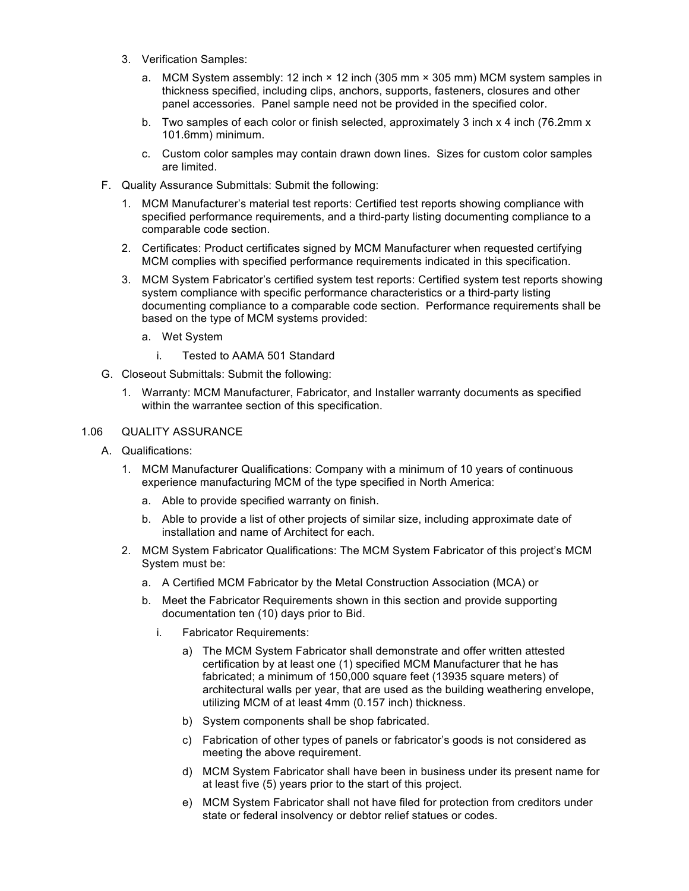- 3. Verification Samples:
	- a. MCM System assembly: 12 inch × 12 inch (305 mm × 305 mm) MCM system samples in thickness specified, including clips, anchors, supports, fasteners, closures and other panel accessories. Panel sample need not be provided in the specified color.
	- b. Two samples of each color or finish selected, approximately 3 inch x 4 inch (76.2mm x 101.6mm) minimum.
	- c. Custom color samples may contain drawn down lines. Sizes for custom color samples are limited.
- F. Quality Assurance Submittals: Submit the following:
	- 1. MCM Manufacturer's material test reports: Certified test reports showing compliance with specified performance requirements, and a third-party listing documenting compliance to a comparable code section.
	- 2. Certificates: Product certificates signed by MCM Manufacturer when requested certifying MCM complies with specified performance requirements indicated in this specification.
	- 3. MCM System Fabricator's certified system test reports: Certified system test reports showing system compliance with specific performance characteristics or a third-party listing documenting compliance to a comparable code section. Performance requirements shall be based on the type of MCM systems provided:
		- a. Wet System
			- i. Tested to AAMA 501 Standard
- G. Closeout Submittals: Submit the following:
	- 1. Warranty: MCM Manufacturer, Fabricator, and Installer warranty documents as specified within the warrantee section of this specification.

# 1.06 QUALITY ASSURANCE

- A. Qualifications:
	- 1. MCM Manufacturer Qualifications: Company with a minimum of 10 years of continuous experience manufacturing MCM of the type specified in North America:
		- a. Able to provide specified warranty on finish.
		- b. Able to provide a list of other projects of similar size, including approximate date of installation and name of Architect for each.
	- 2. MCM System Fabricator Qualifications: The MCM System Fabricator of this project's MCM System must be:
		- a. A Certified MCM Fabricator by the Metal Construction Association (MCA) or
		- b. Meet the Fabricator Requirements shown in this section and provide supporting documentation ten (10) days prior to Bid.
			- i. Fabricator Requirements:
				- a) The MCM System Fabricator shall demonstrate and offer written attested certification by at least one (1) specified MCM Manufacturer that he has fabricated; a minimum of 150,000 square feet (13935 square meters) of architectural walls per year, that are used as the building weathering envelope, utilizing MCM of at least 4mm (0.157 inch) thickness.
				- b) System components shall be shop fabricated.
				- c) Fabrication of other types of panels or fabricator's goods is not considered as meeting the above requirement.
				- d) MCM System Fabricator shall have been in business under its present name for at least five (5) years prior to the start of this project.
				- e) MCM System Fabricator shall not have filed for protection from creditors under state or federal insolvency or debtor relief statues or codes.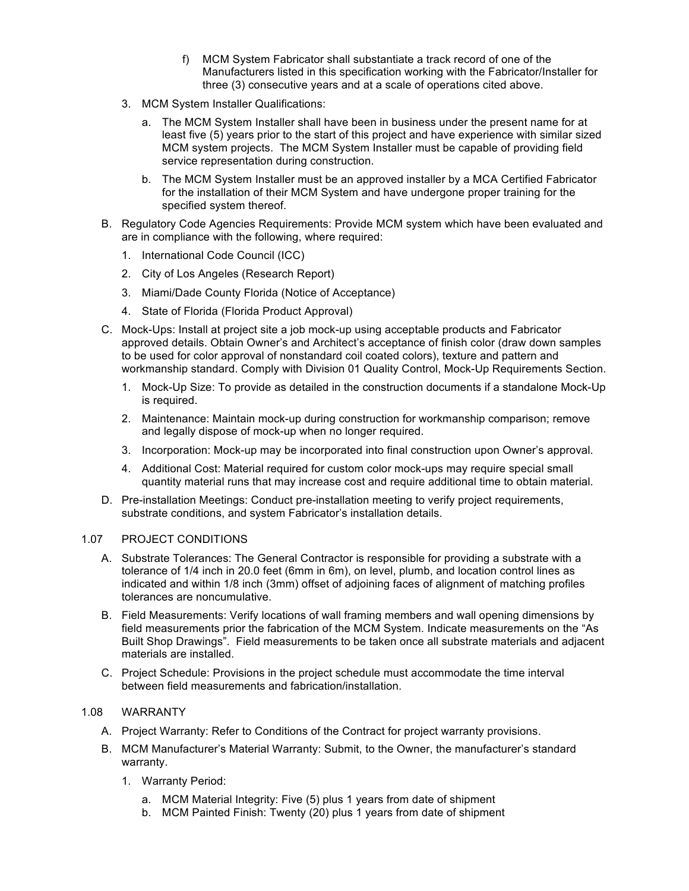- f) MCM System Fabricator shall substantiate a track record of one of the Manufacturers listed in this specification working with the Fabricator/Installer for three (3) consecutive years and at a scale of operations cited above.
- 3. MCM System Installer Qualifications:
	- a. The MCM System Installer shall have been in business under the present name for at least five (5) years prior to the start of this project and have experience with similar sized MCM system projects. The MCM System Installer must be capable of providing field service representation during construction.
	- b. The MCM System Installer must be an approved installer by a MCA Certified Fabricator for the installation of their MCM System and have undergone proper training for the specified system thereof.
- B. Regulatory Code Agencies Requirements: Provide MCM system which have been evaluated and are in compliance with the following, where required:
	- 1. International Code Council (ICC)
	- 2. City of Los Angeles (Research Report)
	- 3. Miami/Dade County Florida (Notice of Acceptance)
	- 4. State of Florida (Florida Product Approval)
- C. Mock-Ups: Install at project site a job mock-up using acceptable products and Fabricator approved details. Obtain Owner's and Architect's acceptance of finish color (draw down samples to be used for color approval of nonstandard coil coated colors), texture and pattern and workmanship standard. Comply with Division 01 Quality Control, Mock-Up Requirements Section.
	- 1. Mock-Up Size: To provide as detailed in the construction documents if a standalone Mock-Up is required.
	- 2. Maintenance: Maintain mock-up during construction for workmanship comparison; remove and legally dispose of mock-up when no longer required.
	- 3. Incorporation: Mock-up may be incorporated into final construction upon Owner's approval.
	- 4. Additional Cost: Material required for custom color mock-ups may require special small quantity material runs that may increase cost and require additional time to obtain material.
- D. Pre-installation Meetings: Conduct pre-installation meeting to verify project requirements, substrate conditions, and system Fabricator's installation details.

### 1.07 PROJECT CONDITIONS

- A. Substrate Tolerances: The General Contractor is responsible for providing a substrate with a tolerance of 1/4 inch in 20.0 feet (6mm in 6m), on level, plumb, and location control lines as indicated and within 1/8 inch (3mm) offset of adjoining faces of alignment of matching profiles tolerances are noncumulative.
- B. Field Measurements: Verify locations of wall framing members and wall opening dimensions by field measurements prior the fabrication of the MCM System. Indicate measurements on the "As Built Shop Drawings". Field measurements to be taken once all substrate materials and adjacent materials are installed.
- C. Project Schedule: Provisions in the project schedule must accommodate the time interval between field measurements and fabrication/installation.

### 1.08 WARRANTY

- A. Project Warranty: Refer to Conditions of the Contract for project warranty provisions.
- B. MCM Manufacturer's Material Warranty: Submit, to the Owner, the manufacturer's standard warranty.
	- 1. Warranty Period:
		- a. MCM Material Integrity: Five (5) plus 1 years from date of shipment
		- b. MCM Painted Finish: Twenty (20) plus 1 years from date of shipment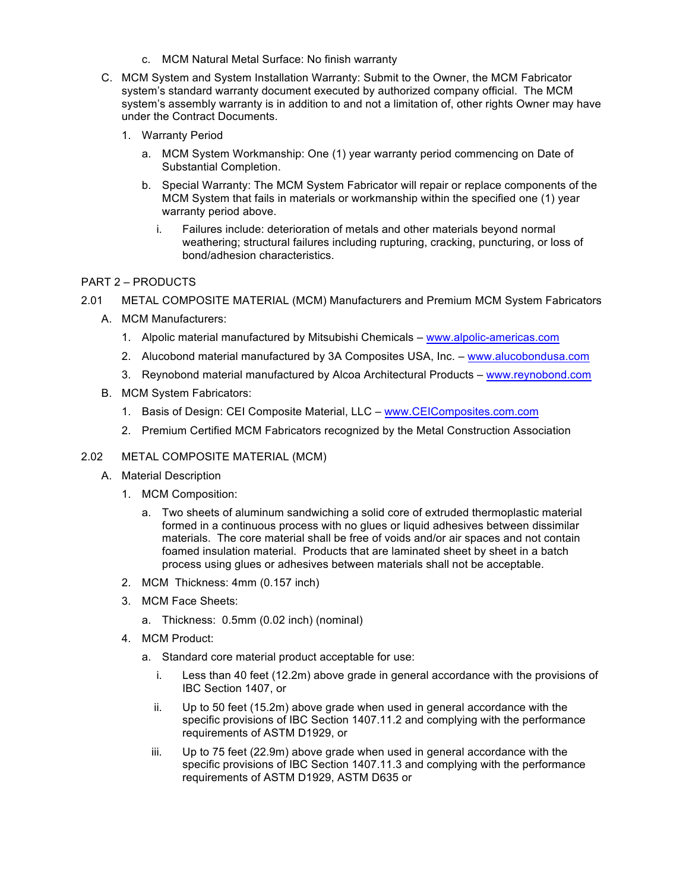- c. MCM Natural Metal Surface: No finish warranty
- C. MCM System and System Installation Warranty: Submit to the Owner, the MCM Fabricator system's standard warranty document executed by authorized company official. The MCM system's assembly warranty is in addition to and not a limitation of, other rights Owner may have under the Contract Documents.
	- 1. Warranty Period
		- a. MCM System Workmanship: One (1) year warranty period commencing on Date of Substantial Completion.
		- b. Special Warranty: The MCM System Fabricator will repair or replace components of the MCM System that fails in materials or workmanship within the specified one (1) year warranty period above.
			- i. Failures include: deterioration of metals and other materials beyond normal weathering; structural failures including rupturing, cracking, puncturing, or loss of bond/adhesion characteristics.

# PART 2 – PRODUCTS

- 2.01 METAL COMPOSITE MATERIAL (MCM) Manufacturers and Premium MCM System Fabricators
	- A. MCM Manufacturers:
		- 1. Alpolic material manufactured by Mitsubishi Chemicals www.alpolic-americas.com
		- 2. Alucobond material manufactured by 3A Composites USA, Inc. www.alucobondusa.com
		- 3. Reynobond material manufactured by Alcoa Architectural Products www.reynobond.com
	- B. MCM System Fabricators:
		- 1. Basis of Design: CEI Composite Material, LLC www.CEIComposites.com.com
		- 2. Premium Certified MCM Fabricators recognized by the Metal Construction Association

### 2.02 METAL COMPOSITE MATERIAL (MCM)

- A. Material Description
	- 1. MCM Composition:
		- a. Two sheets of aluminum sandwiching a solid core of extruded thermoplastic material formed in a continuous process with no glues or liquid adhesives between dissimilar materials. The core material shall be free of voids and/or air spaces and not contain foamed insulation material. Products that are laminated sheet by sheet in a batch process using glues or adhesives between materials shall not be acceptable.
	- 2. MCM Thickness: 4mm (0.157 inch)
	- 3. MCM Face Sheets:
		- a. Thickness: 0.5mm (0.02 inch) (nominal)
	- 4. MCM Product:
		- a. Standard core material product acceptable for use:
			- i. Less than 40 feet (12.2m) above grade in general accordance with the provisions of IBC Section 1407, or
			- ii. Up to 50 feet (15.2m) above grade when used in general accordance with the specific provisions of IBC Section 1407.11.2 and complying with the performance requirements of ASTM D1929, or
			- iii. Up to 75 feet (22.9m) above grade when used in general accordance with the specific provisions of IBC Section 1407.11.3 and complying with the performance requirements of ASTM D1929, ASTM D635 or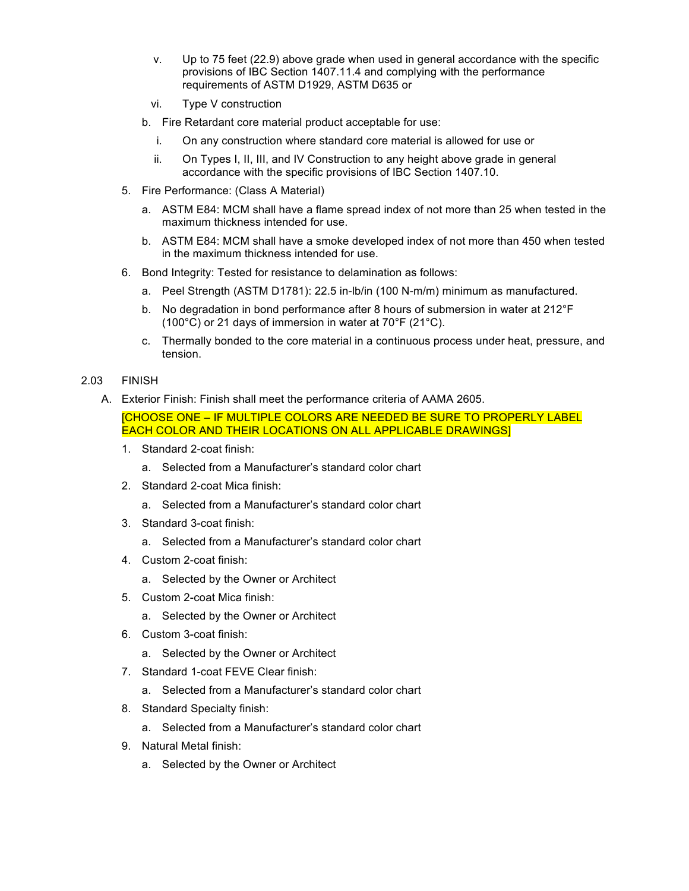- v. Up to 75 feet (22.9) above grade when used in general accordance with the specific provisions of IBC Section 1407.11.4 and complying with the performance requirements of ASTM D1929, ASTM D635 or
- vi. Type V construction
- b. Fire Retardant core material product acceptable for use:
	- i. On any construction where standard core material is allowed for use or
	- ii. On Types I, II, III, and IV Construction to any height above grade in general accordance with the specific provisions of IBC Section 1407.10.
- 5. Fire Performance: (Class A Material)
	- a. ASTM E84: MCM shall have a flame spread index of not more than 25 when tested in the maximum thickness intended for use.
	- b. ASTM E84: MCM shall have a smoke developed index of not more than 450 when tested in the maximum thickness intended for use.
- 6. Bond Integrity: Tested for resistance to delamination as follows:
	- a. Peel Strength (ASTM D1781): 22.5 in-lb/in (100 N-m/m) minimum as manufactured.
	- b. No degradation in bond performance after 8 hours of submersion in water at 212°F (100°C) or 21 days of immersion in water at 70°F (21°C).
	- c. Thermally bonded to the core material in a continuous process under heat, pressure, and tension.

# 2.03 FINISH

A. Exterior Finish: Finish shall meet the performance criteria of AAMA 2605.

[CHOOSE ONE – IF MULTIPLE COLORS ARE NEEDED BE SURE TO PROPERLY LABEL EACH COLOR AND THEIR LOCATIONS ON ALL APPLICABLE DRAWINGS]

- 1. Standard 2-coat finish:
	- a. Selected from a Manufacturer's standard color chart
- 2. Standard 2-coat Mica finish:
	- a. Selected from a Manufacturer's standard color chart
- 3. Standard 3-coat finish:
	- a. Selected from a Manufacturer's standard color chart
- 4. Custom 2-coat finish:
	- a. Selected by the Owner or Architect
- 5. Custom 2-coat Mica finish:
	- a. Selected by the Owner or Architect
- 6. Custom 3-coat finish:
	- a. Selected by the Owner or Architect
- 7. Standard 1-coat FEVE Clear finish:
	- a. Selected from a Manufacturer's standard color chart
- 8. Standard Specialty finish:
	- a. Selected from a Manufacturer's standard color chart
- 9. Natural Metal finish:
	- a. Selected by the Owner or Architect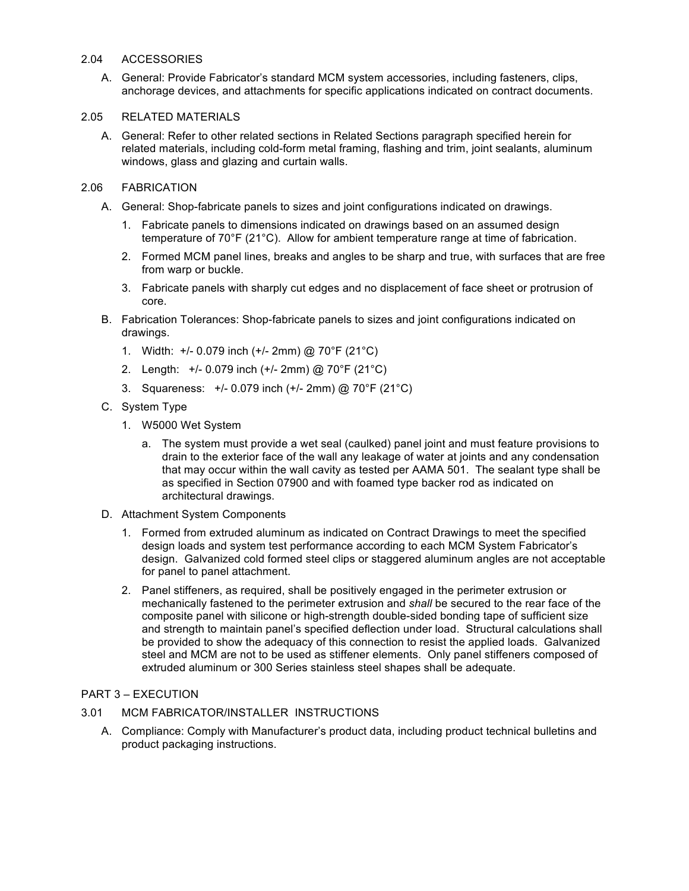### 2.04 ACCESSORIES

A. General: Provide Fabricator's standard MCM system accessories, including fasteners, clips, anchorage devices, and attachments for specific applications indicated on contract documents.

### 2.05 RELATED MATERIALS

A. General: Refer to other related sections in Related Sections paragraph specified herein for related materials, including cold-form metal framing, flashing and trim, joint sealants, aluminum windows, glass and glazing and curtain walls.

# 2.06 FABRICATION

- A. General: Shop-fabricate panels to sizes and joint configurations indicated on drawings.
	- 1. Fabricate panels to dimensions indicated on drawings based on an assumed design temperature of 70°F (21°C). Allow for ambient temperature range at time of fabrication.
	- 2. Formed MCM panel lines, breaks and angles to be sharp and true, with surfaces that are free from warp or buckle.
	- 3. Fabricate panels with sharply cut edges and no displacement of face sheet or protrusion of core.
- B. Fabrication Tolerances: Shop-fabricate panels to sizes and joint configurations indicated on drawings.
	- 1. Width: +/- 0.079 inch (+/- 2mm) @ 70°F (21°C)
	- 2. Length: +/- 0.079 inch (+/- 2mm) @ 70°F (21°C)
	- 3. Squareness: +/- 0.079 inch (+/- 2mm) @ 70°F (21°C)
- C. System Type
	- 1. W5000 Wet System
		- a. The system must provide a wet seal (caulked) panel joint and must feature provisions to drain to the exterior face of the wall any leakage of water at joints and any condensation that may occur within the wall cavity as tested per AAMA 501. The sealant type shall be as specified in Section 07900 and with foamed type backer rod as indicated on architectural drawings.
- D. Attachment System Components
	- 1. Formed from extruded aluminum as indicated on Contract Drawings to meet the specified design loads and system test performance according to each MCM System Fabricator's design. Galvanized cold formed steel clips or staggered aluminum angles are not acceptable for panel to panel attachment.
	- 2. Panel stiffeners, as required, shall be positively engaged in the perimeter extrusion or mechanically fastened to the perimeter extrusion and *shall* be secured to the rear face of the composite panel with silicone or high-strength double-sided bonding tape of sufficient size and strength to maintain panel's specified deflection under load. Structural calculations shall be provided to show the adequacy of this connection to resist the applied loads. Galvanized steel and MCM are not to be used as stiffener elements. Only panel stiffeners composed of extruded aluminum or 300 Series stainless steel shapes shall be adequate.

# PART 3 – EXECUTION

- 3.01 MCM FABRICATOR/INSTALLER INSTRUCTIONS
	- A. Compliance: Comply with Manufacturer's product data, including product technical bulletins and product packaging instructions.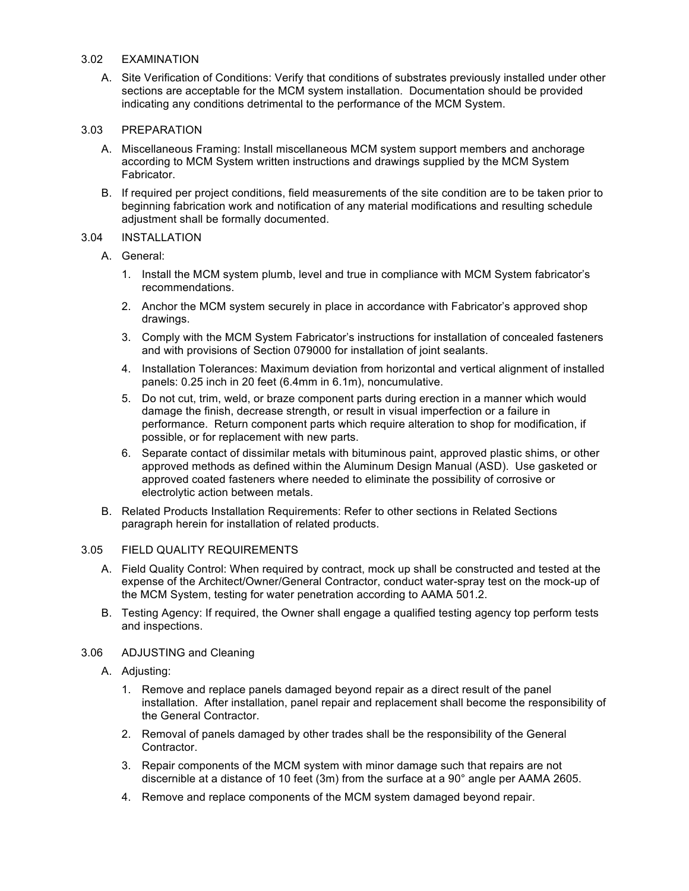### 3.02 EXAMINATION

A. Site Verification of Conditions: Verify that conditions of substrates previously installed under other sections are acceptable for the MCM system installation. Documentation should be provided indicating any conditions detrimental to the performance of the MCM System.

### 3.03 PREPARATION

- A. Miscellaneous Framing: Install miscellaneous MCM system support members and anchorage according to MCM System written instructions and drawings supplied by the MCM System Fabricator.
- B. If required per project conditions, field measurements of the site condition are to be taken prior to beginning fabrication work and notification of any material modifications and resulting schedule adjustment shall be formally documented.

# 3.04 INSTALLATION

- A. General:
	- 1. Install the MCM system plumb, level and true in compliance with MCM System fabricator's recommendations.
	- 2. Anchor the MCM system securely in place in accordance with Fabricator's approved shop drawings.
	- 3. Comply with the MCM System Fabricator's instructions for installation of concealed fasteners and with provisions of Section 079000 for installation of joint sealants.
	- 4. Installation Tolerances: Maximum deviation from horizontal and vertical alignment of installed panels: 0.25 inch in 20 feet (6.4mm in 6.1m), noncumulative.
	- 5. Do not cut, trim, weld, or braze component parts during erection in a manner which would damage the finish, decrease strength, or result in visual imperfection or a failure in performance. Return component parts which require alteration to shop for modification, if possible, or for replacement with new parts.
	- 6. Separate contact of dissimilar metals with bituminous paint, approved plastic shims, or other approved methods as defined within the Aluminum Design Manual (ASD). Use gasketed or approved coated fasteners where needed to eliminate the possibility of corrosive or electrolytic action between metals.
- B. Related Products Installation Requirements: Refer to other sections in Related Sections paragraph herein for installation of related products.

### 3.05 FIELD QUALITY REQUIREMENTS

- A. Field Quality Control: When required by contract, mock up shall be constructed and tested at the expense of the Architect/Owner/General Contractor, conduct water-spray test on the mock-up of the MCM System, testing for water penetration according to AAMA 501.2.
- B. Testing Agency: If required, the Owner shall engage a qualified testing agency top perform tests and inspections.

### 3.06 ADJUSTING and Cleaning

- A. Adjusting:
	- 1. Remove and replace panels damaged beyond repair as a direct result of the panel installation. After installation, panel repair and replacement shall become the responsibility of the General Contractor.
	- 2. Removal of panels damaged by other trades shall be the responsibility of the General Contractor.
	- 3. Repair components of the MCM system with minor damage such that repairs are not discernible at a distance of 10 feet (3m) from the surface at a 90° angle per AAMA 2605.
	- 4. Remove and replace components of the MCM system damaged beyond repair.